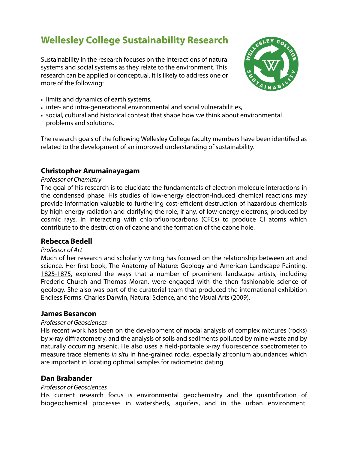# **Wellesley College Sustainability Research**

Sustainability in the research focuses on the interactions of natural systems and social systems as they relate to the environment. This research can be applied or conceptual. It is likely to address one or more of the following:



- limits and dynamics of earth systems,
- inter- and intra-generational environmental and social vulnerabilities,
- social, cultural and historical context that shape how we think about environmental problems and solutions.

The research goals of the following Wellesley College faculty members have been identified as related to the development of an improved understanding of sustainability.

# **Christopher Arumainayagam**

#### Professor of Chemistry

The goal of his research is to elucidate the fundamentals of electron-molecule interactions in the condensed phase. His studies of low-energy electron-induced chemical reactions may provide information valuable to furthering cost-efficient destruction of hazardous chemicals by high energy radiation and clarifying the role, if any, of low-energy electrons, produced by cosmic rays, in interacting with chlorofluorocarbons (CFCs) to produce Cl atoms which contribute to the destruction of ozone and the formation of the ozone hole.

## **Rebecca Bedell**

#### Professor of Art

Much of her research and scholarly writing has focused on the relationship between art and science. Her first book, The Anatomy of Nature: Geology and American Landscape Painting, 1825-1875, explored the ways that a number of prominent landscape artists, including Frederic Church and Thomas Moran, were engaged with the then fashionable science of geology. She also was part of the curatorial team that produced the international exhibition Endless Forms: Charles Darwin, Natural Science, and the Visual Arts (2009).

#### **James Besancon**

#### Professor of Geosciences

His recent work has been on the development of modal analysis of complex mixtures (rocks) by x-ray diffractometry, and the analysis of soils and sediments polluted by mine waste and by naturally occurring arsenic. He also uses a field-portable x-ray fluorescence spectrometer to measure trace elements in situ in fine-grained rocks, especially zirconium abundances which are important in locating optimal samples for radiometric dating.

## **Dan Brabander**

#### Professor of Geosciences

His current research focus is environmental geochemistry and the quantification of biogeochemical processes in watersheds, aquifers, and in the urban environment.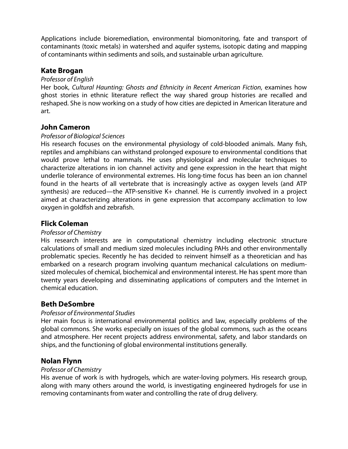Applications include bioremediation, environmental biomonitoring, fate and transport of contaminants (toxic metals) in watershed and aquifer systems, isotopic dating and mapping of contaminants within sediments and soils, and sustainable urban agriculture.

## **Kate Brogan**

#### Professor of English

Her book, Cultural Haunting: Ghosts and Ethnicity in Recent American Fiction, examines how ghost stories in ethnic literature reflect the way shared group histories are recalled and reshaped. She is now working on a study of how cities are depicted in American literature and art.

## **John Cameron**

#### Professor of Biological Sciences

His research focuses on the environmental physiology of cold-blooded animals. Many fish, reptiles and amphibians can withstand prolonged exposure to environmental conditions that would prove lethal to mammals. He uses physiological and molecular techniques to characterize alterations in ion channel activity and gene expression in the heart that might underlie tolerance of environmental extremes. His long-time focus has been an ion channel found in the hearts of all vertebrate that is increasingly active as oxygen levels (and ATP synthesis) are reduced—the ATP-sensitive K+ channel. He is currently involved in a project aimed at characterizing alterations in gene expression that accompany acclimation to low oxygen in goldfish and zebrafish.

## **Flick Coleman**

#### Professor of Chemistry

His research interests are in computational chemistry including electronic structure calculations of small and medium sized molecules including PAHs and other environmentally problematic species. Recently he has decided to reinvent himself as a theoretician and has embarked on a research program involving quantum mechanical calculations on mediumsized molecules of chemical, biochemical and environmental interest. He has spent more than twenty years developing and disseminating applications of computers and the Internet in chemical education.

# **Beth DeSombre**

## Professor of Environmental Studies

Her main focus is international environmental politics and law, especially problems of the global commons. She works especially on issues of the global commons, such as the oceans and atmosphere. Her recent projects address environmental, safety, and labor standards on ships, and the functioning of global environmental institutions generally.

# **Nolan Flynn**

#### Professor of Chemistry

His avenue of work is with hydrogels, which are water-loving polymers. His research group, along with many others around the world, is investigating engineered hydrogels for use in removing contaminants from water and controlling the rate of drug delivery.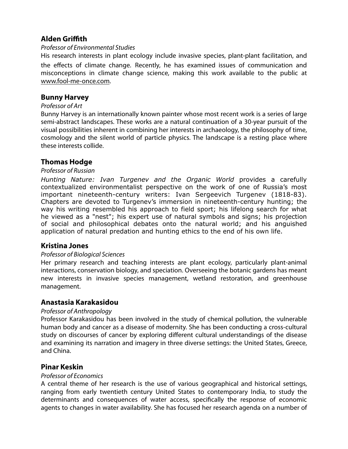# **Alden Griffith**

#### Professor of Environmental Studies

His research interests in plant ecology include invasive species, plant-plant facilitation, and the effects of climate change. Recently, he has examined issues of communication and misconceptions in climate change science, making this work available to the public at [www.fool-me-once.com.](http://www.fool-me-once.com/)

# **Bunny Harvey**

#### Professor of Art

Bunny Harvey is an internationally known painter whose most recent work is a series of large semi-abstract landscapes. These works are a natural continuation of a 30-year pursuit of the visual possibilities inherent in combining her interests in archaeology, the philosophy of time, cosmology and the silent world of particle physics. The landscape is a resting place where these interests collide.

# **Thomas Hodge**

#### Professor of Russian

*Hunting Nature: Ivan Turgenev and the Organic World* provides a carefully contextualized environmentalist perspective on the work of one of Russia's most important nineteenth-century writers: Ivan Sergeevich Turgenev (1818-83). Chapters are devoted to Turgenev's immersion in nineteenth-century hunting; the way his writing resembled his approach to field sport; his lifelong search for what he viewed as a "nest"; his expert use of natural symbols and signs; his projection of social and philosophical debates onto the natural world; and his anguished application of natural predation and hunting ethics to the end of his own life.

## **Kristina Jones**

## Professor of Biological Sciences

Her primary research and teaching interests are plant ecology, particularly plant-animal interactions, conservation biology, and speciation. Overseeing the botanic gardens has meant new interests in invasive species management, wetland restoration, and greenhouse management.

## **Anastasia Karakasidou**

## Professor of Anthropology

Professor Karakasidou has been involved in the study of chemical pollution, the vulnerable human body and cancer as a disease of modernity. She has been conducting a cross-cultural study on discourses of cancer by exploring different cultural understandings of the disease and examining its narration and imagery in three diverse settings: the United States, Greece, and China.

## **Pinar Keskin**

## Professor of Economics

A central theme of her research is the use of various geographical and historical settings, ranging from early twentieth century United States to contemporary India, to study the determinants and consequences of water access, specifically the response of economic agents to changes in water availability. She has focused her research agenda on a number of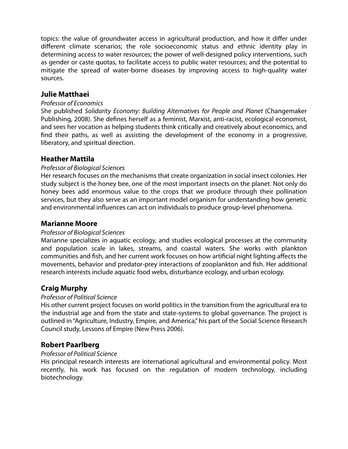topics: the value of groundwater access in agricultural production, and how it differ under different climate scenarios; the role socioeconomic status and ethnic identity play in determining access to water resources; the power of well-designed policy interventions, such as gender or caste quotas, to facilitate access to public water resources; and the potential to mitigate the spread of water-borne diseases by improving access to high-quality water sources.

# **Julie Matthaei**

#### Professor of Economics

She published Solidarity Economy: Building Alternatives for People and Planet (Changemaker Publishing, 2008). She defines herself as a feminist, Marxist, anti-racist, ecological economist, and sees her vocation as helping students think critically and creatively about economics, and find their paths, as well as assisting the development of the economy in a progressive, liberatory, and spiritual direction.

## **Heather Mattila**

#### Professor of Biological Sciences

Her research focuses on the mechanisms that create organization in social insect colonies. Her study subject is the honey bee, one of the most important insects on the planet. Not only do honey bees add enormous value to the crops that we produce through their pollination services, but they also serve as an important model organism for understanding how genetic and environmental influences can act on individuals to produce group-level phenomena.

#### **Marianne Moore**

## Professor of Biological Sciences

Marianne specializes in aquatic ecology, and studies ecological processes at the community and population scale in lakes, streams, and coastal waters. She works with plankton communities and fish, and her current work focuses on how artificial night lighting affects the movements, behavior and predator-prey interactions of zooplankton and fish. Her additional research interests include aquatic food webs, disturbance ecology, and urban ecology.

## **Craig Murphy**

## Professor of Political Science

His other current project focuses on world politics in the transition from the agricultural era to the industrial age and from the state and state-systems to global governance. The project is outlined in "Agriculture, Industry, Empire, and America," his part of the Social Science Research Council study, Lessons of Empire (New Press 2006).

# **Robert Paarlberg**

## Professor of Political Science

His principal research interests are international agricultural and environmental policy. Most recently, his work has focused on the regulation of modern technology, including biotechnology.